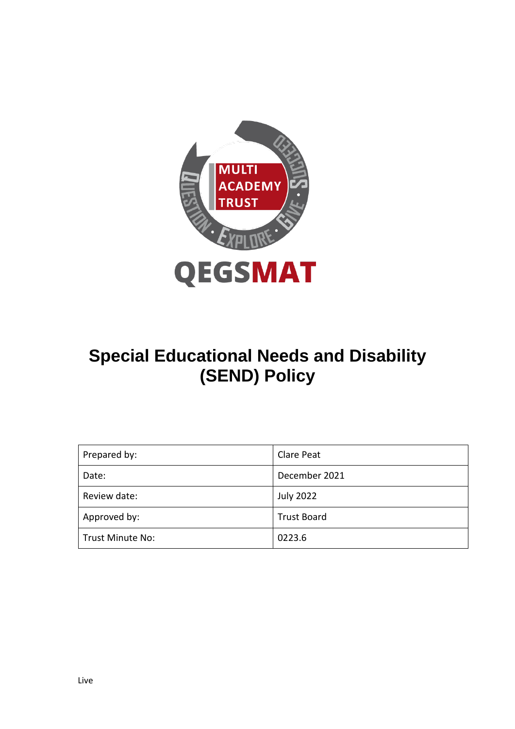

# **Special Educational Needs and Disability (SEND) Policy**

| Prepared by:            | Clare Peat         |
|-------------------------|--------------------|
| Date:                   | December 2021      |
| Review date:            | <b>July 2022</b>   |
| Approved by:            | <b>Trust Board</b> |
| <b>Trust Minute No:</b> | 0223.6             |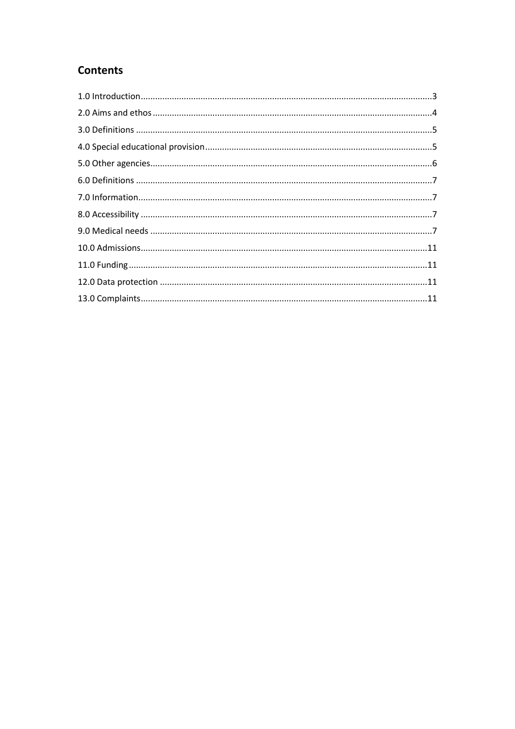### **Contents**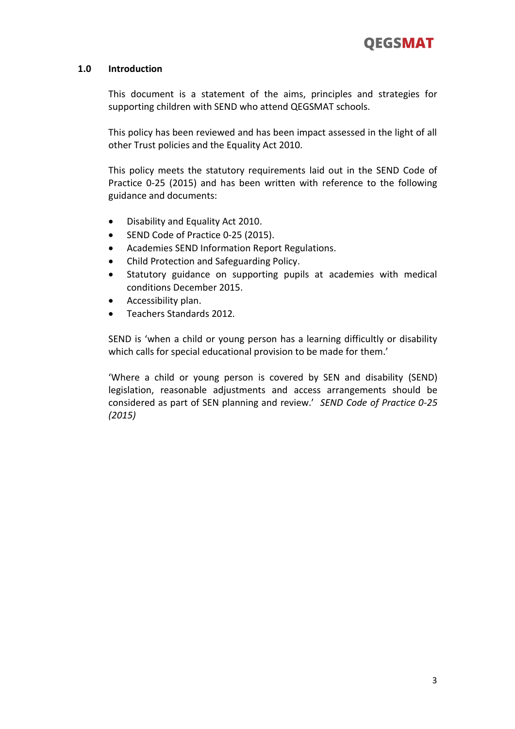### **1.0 Introduction**

This document is a statement of the aims, principles and strategies for supporting children with SEND who attend QEGSMAT schools.

This policy has been reviewed and has been impact assessed in the light of all other Trust policies and the Equality Act 2010.

This policy meets the statutory requirements laid out in the SEND Code of Practice 0-25 (2015) and has been written with reference to the following guidance and documents:

- Disability and Equality Act 2010.
- SEND Code of Practice 0-25 (2015).
- Academies SEND Information Report Regulations.
- Child Protection and Safeguarding Policy.
- Statutory guidance on supporting pupils at academies with medical conditions December 2015.
- Accessibility plan.
- Teachers Standards 2012*.*

SEND is 'when a child or young person has a learning difficultly or disability which calls for special educational provision to be made for them.'

'Where a child or young person is covered by SEN and disability (SEND) legislation, reasonable adjustments and access arrangements should be considered as part of SEN planning and review.' *SEND Code of Practice 0-25 (2015)*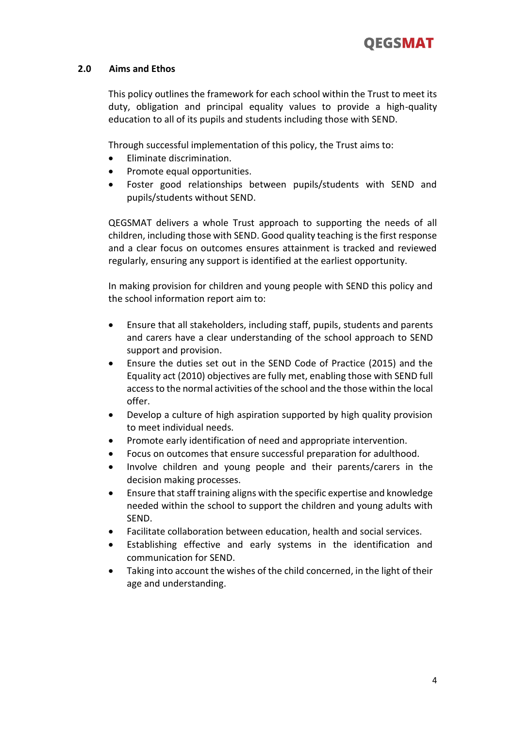### **2.0 Aims and Ethos**

This policy outlines the framework for each school within the Trust to meet its duty, obligation and principal equality values to provide a high-quality education to all of its pupils and students including those with SEND.

Through successful implementation of this policy, the Trust aims to:

- Eliminate discrimination.
- Promote equal opportunities.
- Foster good relationships between pupils/students with SEND and pupils/students without SEND.

QEGSMAT delivers a whole Trust approach to supporting the needs of all children, including those with SEND. Good quality teaching is the first response and a clear focus on outcomes ensures attainment is tracked and reviewed regularly, ensuring any support is identified at the earliest opportunity.

In making provision for children and young people with SEND this policy and the school information report aim to:

- Ensure that all stakeholders, including staff, pupils, students and parents and carers have a clear understanding of the school approach to SEND support and provision.
- Ensure the duties set out in the SEND Code of Practice (2015) and the Equality act (2010) objectives are fully met, enabling those with SEND full accessto the normal activities of the school and the those within the local offer.
- Develop a culture of high aspiration supported by high quality provision to meet individual needs.
- Promote early identification of need and appropriate intervention.
- Focus on outcomes that ensure successful preparation for adulthood.
- Involve children and young people and their parents/carers in the decision making processes.
- Ensure that staff training aligns with the specific expertise and knowledge needed within the school to support the children and young adults with SEND.
- Facilitate collaboration between education, health and social services.
- Establishing effective and early systems in the identification and communication for SEND.
- Taking into account the wishes of the child concerned, in the light of their age and understanding.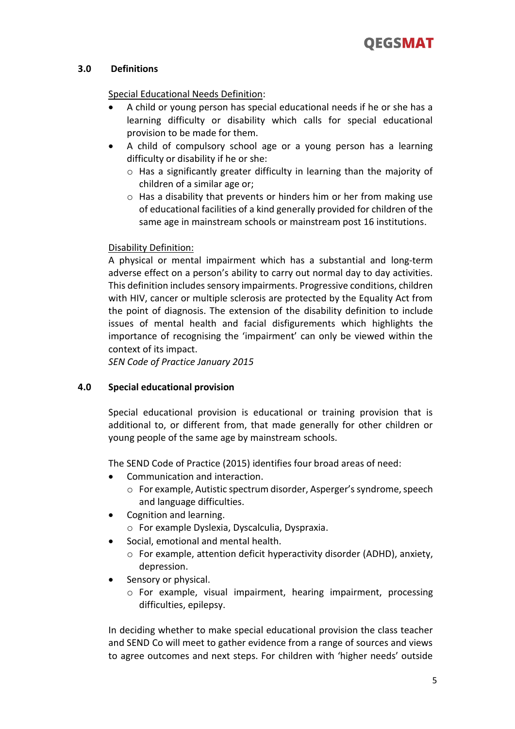### **3.0 Definitions**

### Special Educational Needs Definition:

- A child or young person has special educational needs if he or she has a learning difficulty or disability which calls for special educational provision to be made for them.
- A child of compulsory school age or a young person has a learning difficulty or disability if he or she:
	- o Has a significantly greater difficulty in learning than the majority of children of a similar age or;
	- o Has a disability that prevents or hinders him or her from making use of educational facilities of a kind generally provided for children of the same age in mainstream schools or mainstream post 16 institutions.

### Disability Definition:

A physical or mental impairment which has a substantial and long-term adverse effect on a person's ability to carry out normal day to day activities. This definition includes sensory impairments. Progressive conditions, children with HIV, cancer or multiple sclerosis are protected by the Equality Act from the point of diagnosis. The extension of the disability definition to include issues of mental health and facial disfigurements which highlights the importance of recognising the 'impairment' can only be viewed within the context of its impact.

*SEN Code of Practice January 2015*

### **4.0 Special educational provision**

Special educational provision is educational or training provision that is additional to, or different from, that made generally for other children or young people of the same age by mainstream schools.

The SEND Code of Practice (2015) identifies four broad areas of need:

- Communication and interaction.
	- o For example, Autistic spectrum disorder, Asperger's syndrome, speech and language difficulties.
- Cognition and learning.
	- o For example Dyslexia, Dyscalculia, Dyspraxia.
- Social, emotional and mental health.
	- o For example, attention deficit hyperactivity disorder (ADHD), anxiety, depression.
- Sensory or physical.
	- o For example, visual impairment, hearing impairment, processing difficulties, epilepsy.

In deciding whether to make special educational provision the class teacher and SEND Co will meet to gather evidence from a range of sources and views to agree outcomes and next steps. For children with 'higher needs' outside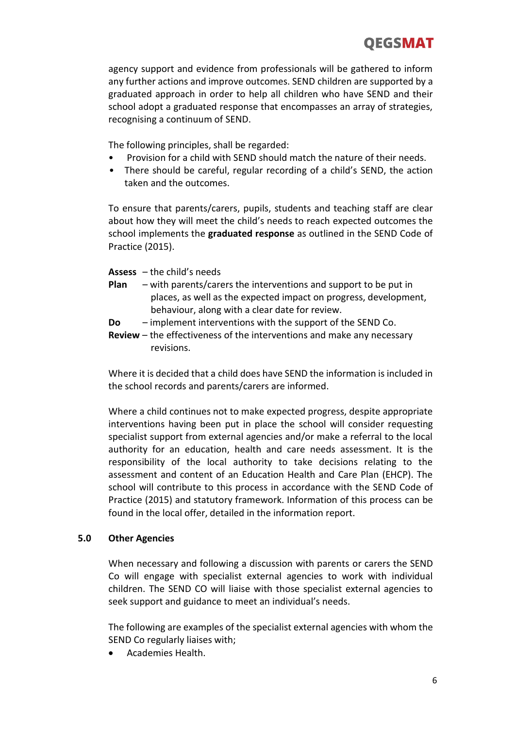agency support and evidence from professionals will be gathered to inform any further actions and improve outcomes. SEND children are supported by a graduated approach in order to help all children who have SEND and their school adopt a graduated response that encompasses an array of strategies, recognising a continuum of SEND.

The following principles, shall be regarded:

- Provision for a child with SEND should match the nature of their needs.
- There should be careful, regular recording of a child's SEND, the action taken and the outcomes.

To ensure that parents/carers, pupils, students and teaching staff are clear about how they will meet the child's needs to reach expected outcomes the school implements the **graduated response** as outlined in the SEND Code of Practice (2015).

**Assess** – the child's needs

- **Plan** with parents/carers the interventions and support to be put in places, as well as the expected impact on progress, development, behaviour, along with a clear date for review.
- **Do** implement interventions with the support of the SEND Co.
- **Review**  the effectiveness of the interventions and make any necessary revisions.

Where it is decided that a child does have SEND the information is included in the school records and parents/carers are informed.

Where a child continues not to make expected progress, despite appropriate interventions having been put in place the school will consider requesting specialist support from external agencies and/or make a referral to the local authority for an education, health and care needs assessment. It is the responsibility of the local authority to take decisions relating to the assessment and content of an Education Health and Care Plan (EHCP). The school will contribute to this process in accordance with the SEND Code of Practice (2015) and statutory framework. Information of this process can be found in the local offer, detailed in the information report.

### **5.0 Other Agencies**

When necessary and following a discussion with parents or carers the SEND Co will engage with specialist external agencies to work with individual children. The SEND CO will liaise with those specialist external agencies to seek support and guidance to meet an individual's needs.

The following are examples of the specialist external agencies with whom the SEND Co regularly liaises with;

Academies Health.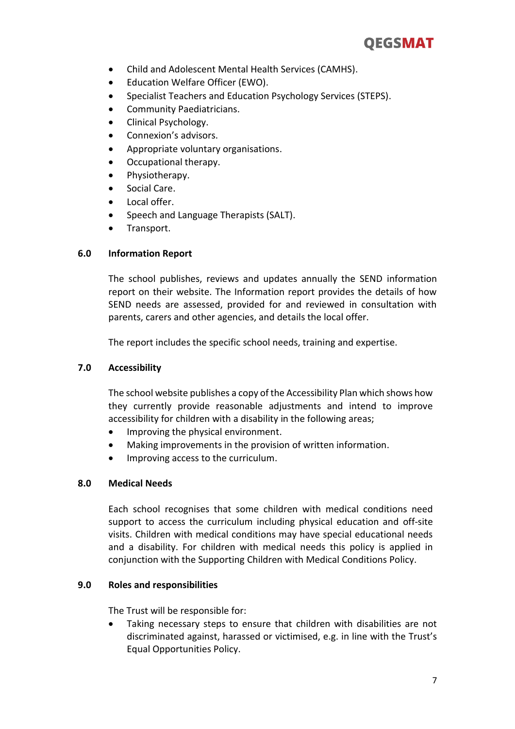## **QEGSMAT**

- Child and Adolescent Mental Health Services (CAMHS).
- Education Welfare Officer (EWO).
- **•** Specialist Teachers and Education Psychology Services (STEPS).
- **•** Community Paediatricians.
- Clinical Psychology.
- Connexion's advisors.
- Appropriate voluntary organisations.
- Occupational therapy.
- Physiotherapy.
- Social Care.
- Local offer.
- Speech and Language Therapists (SALT).
- Transport.

### **6.0 Information Report**

The school publishes, reviews and updates annually the SEND information report on their website. The Information report provides the details of how SEND needs are assessed, provided for and reviewed in consultation with parents, carers and other agencies, and details the local offer.

The report includes the specific school needs, training and expertise.

### **7.0 Accessibility**

The school website publishes a copy of the Accessibility Plan which shows how they currently provide reasonable adjustments and intend to improve accessibility for children with a disability in the following areas;

- Improving the physical environment.
- Making improvements in the provision of written information.
- Improving access to the curriculum.

### **8.0 Medical Needs**

Each school recognises that some children with medical conditions need support to access the curriculum including physical education and off-site visits. Children with medical conditions may have special educational needs and a disability. For children with medical needs this policy is applied in conjunction with the Supporting Children with Medical Conditions Policy.

### **9.0 Roles and responsibilities**

The Trust will be responsible for:

 Taking necessary steps to ensure that children with disabilities are not discriminated against, harassed or victimised, e.g. in line with the Trust's Equal Opportunities Policy.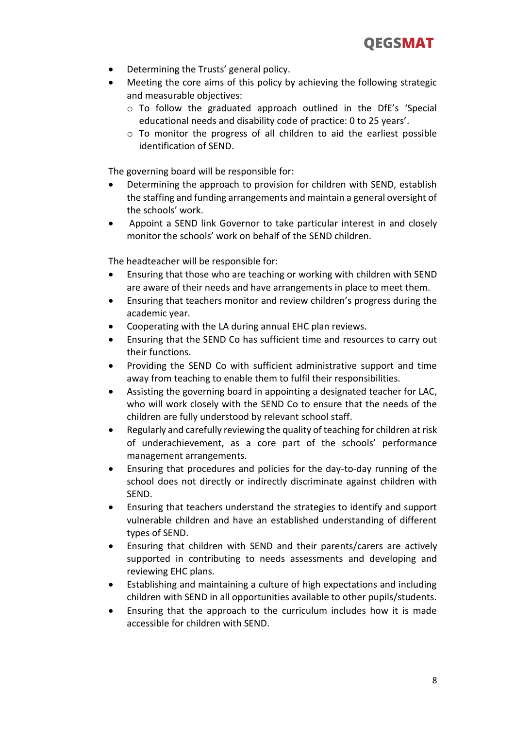

- Determining the Trusts' general policy.
- Meeting the core aims of this policy by achieving the following strategic and measurable objectives:
	- o To follow the graduated approach outlined in the DfE's 'Special educational needs and disability code of practice: 0 to 25 years'.
	- o To monitor the progress of all children to aid the earliest possible identification of SEND.

The governing board will be responsible for:

- Determining the approach to provision for children with SEND, establish the staffing and funding arrangements and maintain a general oversight of the schools' work.
- Appoint a SEND link Governor to take particular interest in and closely monitor the schools' work on behalf of the SEND children.

The headteacher will be responsible for:

- Ensuring that those who are teaching or working with children with SEND are aware of their needs and have arrangements in place to meet them.
- Ensuring that teachers monitor and review children's progress during the academic year.
- Cooperating with the LA during annual EHC plan reviews.
- Ensuring that the SEND Co has sufficient time and resources to carry out their functions.
- Providing the SEND Co with sufficient administrative support and time away from teaching to enable them to fulfil their responsibilities.
- Assisting the governing board in appointing a designated teacher for LAC, who will work closely with the SEND Co to ensure that the needs of the children are fully understood by relevant school staff.
- Regularly and carefully reviewing the quality of teaching for children at risk of underachievement, as a core part of the schools' performance management arrangements.
- Ensuring that procedures and policies for the day-to-day running of the school does not directly or indirectly discriminate against children with SEND.
- Ensuring that teachers understand the strategies to identify and support vulnerable children and have an established understanding of different types of SEND.
- Ensuring that children with SEND and their parents/carers are actively supported in contributing to needs assessments and developing and reviewing EHC plans.
- Establishing and maintaining a culture of high expectations and including children with SEND in all opportunities available to other pupils/students.
- Ensuring that the approach to the curriculum includes how it is made accessible for children with SEND.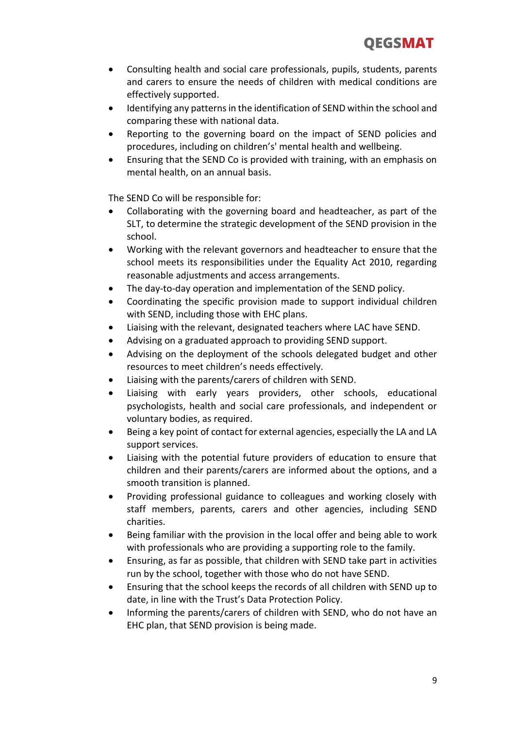- Consulting health and social care professionals, pupils, students, parents and carers to ensure the needs of children with medical conditions are effectively supported.
- Identifying any patterns in the identification of SEND within the school and comparing these with national data.
- Reporting to the governing board on the impact of SEND policies and procedures, including on children's' mental health and wellbeing.
- Ensuring that the SEND Co is provided with training, with an emphasis on mental health, on an annual basis.

The SEND Co will be responsible for:

- Collaborating with the governing board and headteacher, as part of the SLT, to determine the strategic development of the SEND provision in the school.
- Working with the relevant governors and headteacher to ensure that the school meets its responsibilities under the Equality Act 2010, regarding reasonable adjustments and access arrangements.
- The day-to-day operation and implementation of the SEND policy.
- Coordinating the specific provision made to support individual children with SEND, including those with EHC plans.
- Liaising with the relevant, designated teachers where LAC have SEND.
- Advising on a graduated approach to providing SEND support.
- Advising on the deployment of the schools delegated budget and other resources to meet children's needs effectively.
- Liaising with the parents/carers of children with SEND.
- Liaising with early years providers, other schools, educational psychologists, health and social care professionals, and independent or voluntary bodies, as required.
- Being a key point of contact for external agencies, especially the LA and LA support services.
- Liaising with the potential future providers of education to ensure that children and their parents/carers are informed about the options, and a smooth transition is planned.
- Providing professional guidance to colleagues and working closely with staff members, parents, carers and other agencies, including SEND charities.
- Being familiar with the provision in the local offer and being able to work with professionals who are providing a supporting role to the family.
- Ensuring, as far as possible, that children with SEND take part in activities run by the school, together with those who do not have SEND.
- Ensuring that the school keeps the records of all children with SEND up to date, in line with the Trust's Data Protection Policy.
- Informing the parents/carers of children with SEND, who do not have an EHC plan, that SEND provision is being made.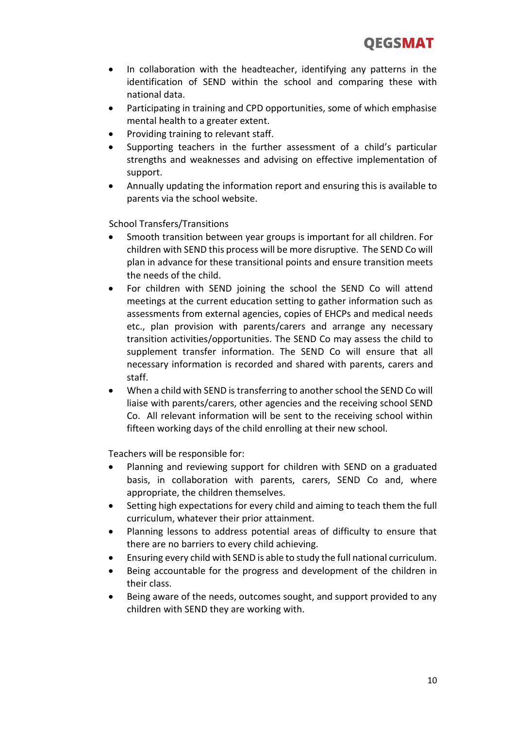- In collaboration with the headteacher, identifying any patterns in the identification of SEND within the school and comparing these with national data.
- Participating in training and CPD opportunities, some of which emphasise mental health to a greater extent.
- Providing training to relevant staff.
- Supporting teachers in the further assessment of a child's particular strengths and weaknesses and advising on effective implementation of support.
- Annually updating the information report and ensuring this is available to parents via the school website.

School Transfers/Transitions

- Smooth transition between year groups is important for all children. For children with SEND this process will be more disruptive. The SEND Co will plan in advance for these transitional points and ensure transition meets the needs of the child.
- For children with SEND joining the school the SEND Co will attend meetings at the current education setting to gather information such as assessments from external agencies, copies of EHCPs and medical needs etc., plan provision with parents/carers and arrange any necessary transition activities/opportunities. The SEND Co may assess the child to supplement transfer information. The SEND Co will ensure that all necessary information is recorded and shared with parents, carers and staff.
- When a child with SEND is transferring to another school the SEND Co will liaise with parents/carers, other agencies and the receiving school SEND Co. All relevant information will be sent to the receiving school within fifteen working days of the child enrolling at their new school.

Teachers will be responsible for:

- Planning and reviewing support for children with SEND on a graduated basis, in collaboration with parents, carers, SEND Co and, where appropriate, the children themselves.
- Setting high expectations for every child and aiming to teach them the full curriculum, whatever their prior attainment.
- Planning lessons to address potential areas of difficulty to ensure that there are no barriers to every child achieving.
- Ensuring every child with SEND is able to study the full national curriculum.
- Being accountable for the progress and development of the children in their class.
- Being aware of the needs, outcomes sought, and support provided to any children with SEND they are working with.